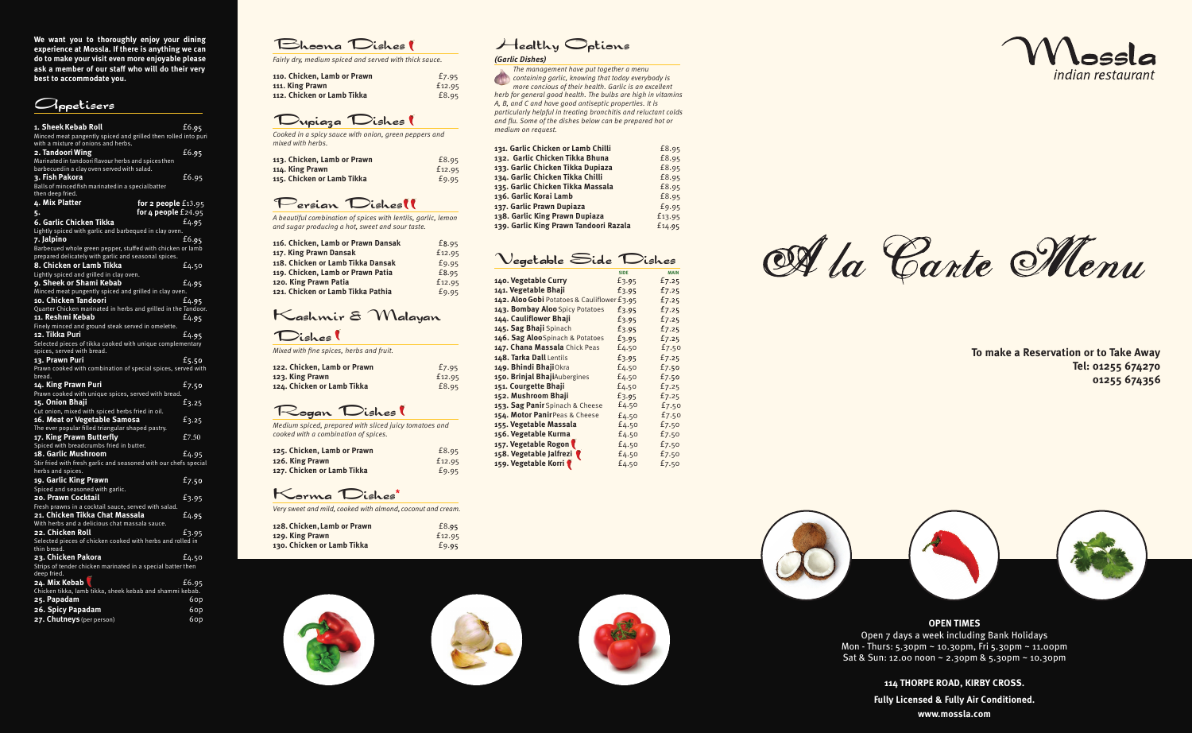**OPEN TIMES** Open 7 days a week including Bank Holidays Mon - Thurs: 5.30pm ~ 10.30pm, Fri 5.30pm ~ 11.00pm Sat & Sun: 12.00 noon ~ 2.30pm & 5.30pm ~ 10.30pm

> **114 THORPE ROAD, KIRBY CROSS. Fully Licensed & Fully Air Conditioned. www.mossla.com**

**To make a Reservation or to Take Away Tel: 01255 674270 01255 674356**



**We want you to thoroughly enjoy your dining experience at Mossla. If there is anything we can do to make your visit even more enjoyable please ask a member of our staff who will do their very best to accommodate you.**



| 1. Sheek Kebab Roll                                                            | £6.95 |
|--------------------------------------------------------------------------------|-------|
| Minced meat pangently spiced and grilled then rolled into puri                 |       |
| with a mixture of onions and herbs.                                            |       |
| 2. Tandoori Wing                                                               | f6.95 |
| Marinated in tandoori flavour herbs and spices then                            |       |
| barbecued in a clay oven served with salad.                                    |       |
| 3. Fish Pakora                                                                 | f6.95 |
| Balls of minced fish marinated in a special batter<br>then deep fried.         |       |
| 4. Mix Platter<br>for 2 people $£13.95$                                        |       |
| for $4$ people $£24.95$<br>5.                                                  |       |
| 6. Garlic Chicken Tikka                                                        | f4.95 |
| Lightly spiced with garlic and barbequed in clay oven.                         |       |
| 7. Jalpino                                                                     | £6.95 |
| Barbecued whole green pepper, stuffed with chicken or lamb                     |       |
| prepared delicately with garlic and seasonal spices.                           |       |
| 8. Chicken or Lamb Tikka                                                       | £4.50 |
| Lightly spiced and grilled in clay oven.                                       |       |
| 9. Sheek or Shami Kebab                                                        | £4.95 |
| Minced meat pungently spiced and grilled in clay oven.                         |       |
| 10. Chicken Tandoori                                                           | £4.95 |
| Quarter Chicken marinated in herbs and grilled in the Tandoor.                 |       |
| 11. Reshmi Kebab                                                               | f4.95 |
| Finely minced and ground steak served in omelette.                             |       |
| 12. Tikka Puri                                                                 | £4.95 |
| Selected pieces of tikka cooked with unique complementary                      |       |
| spices, served with bread.                                                     |       |
| 13. Prawn Puri<br>Prawn cooked with combination of special spices, served with | £5.50 |
| bread.                                                                         |       |
| 14. King Prawn Puri                                                            | £7.50 |
| Prawn cooked with unique spices, served with bread.                            |       |
| 15. Onion Bhaji                                                                | £3.25 |
| Cut onion, mixed with spiced herbs fried in oil.                               |       |
| 16. Meat or Vegetable Samosa                                                   | £3.25 |
| The ever popular filled triangular shaped pastry.                              |       |
| 17. King Prawn Butterfly                                                       | £7.50 |
| Spiced with breadcrumbs fried in butter.                                       |       |
| 18. Garlic Mushroom                                                            | £4.95 |
| Stir fried with fresh garlic and seasoned with our chefs special               |       |
| herbs and spices.                                                              |       |
| 19. Garlic King Prawn<br>Spiced and seasoned with garlic.                      | £7.50 |
| 20. Prawn Cocktail                                                             | f3.95 |
| Fresh prawns in a cocktail sauce, served with salad.                           |       |
| 21. Chicken Tikka Chat Massala                                                 | f4.95 |
| With herbs and a delicious chat massala sauce.                                 |       |
| 22. Chicken Roll                                                               | £3.95 |
| Selected pieces of chicken cooked with herbs and rolled in                     |       |
| thin bread.                                                                    |       |
| 23. Chicken Pakora                                                             | £4.50 |
| Strips of tender chicken marinated in a special batter then                    |       |
| deep fried.                                                                    |       |
| 24. Mix Kebab                                                                  | £6.95 |
| Chicken tikka, lamb tikka, sheek kebab and shammi kebab.<br>25. Papadam        |       |
|                                                                                | 60p   |
| 26. Spicy Papadam                                                              | 6op   |
| 27. Chutneys (per person)                                                      | 60p   |

### Bhoona Dishes

*Fairly dry, medium spiced and served with thick sauce.*

| 110. Chicken, Lamb or Prawn | £7.95  |
|-----------------------------|--------|
| 111. King Prawn             | £12.95 |
| 112. Chicken or Lamb Tikka  | £8.95  |

#### Dupiaza Dishes

*Cooked in a spicy sauce with onion, green peppers and mixed with herbs.*

| 113. Chicken, Lamb or Prawn | £8.95  |
|-----------------------------|--------|
| 114. King Prawn             | £12.95 |
| 115. Chicken or Lamb Tikka  | £9.95  |

#### Persian Dishes

*A beautiful combination of spices with lentils, garlic, lemon and sugar producing a hot, sweet and sour taste.*

| 116. Chicken, Lamb or Prawn Dansak | £8.95  |
|------------------------------------|--------|
| 117. King Prawn Dansak             | £12.95 |
| 118. Chicken or Lamb Tikka Dansak  | £9.95  |
| 119. Chicken, Lamb or Prawn Patia  | £8.95  |
| 120. King Prawn Patia              | £12.95 |
| 121. Chicken or Lamb Tikka Pathia  | £9.95  |

# Kashmir &Malayan

#### Dishes

*Mixed with fine spices, herbs and fruit.*

| 122. Chicken, Lamb or Prawn | £7.95  |
|-----------------------------|--------|
| 123. King Prawn             | £12.95 |
| 124. Chicken or Lamb Tikka  | £8.95  |

## Rogan Dishes

*Medium spiced, prepared with sliced juicy tomatoes and cooked with a combination of spices.*

| 125. Chicken, Lamb or Prawn | £8.95  |
|-----------------------------|--------|
| 126. King Prawn             | £12.95 |
| 127. Chicken or Lamb Tikka  | £9.95  |

Korma Dishes **\***

*Very sweet and mild, co oked with almond, coconut and cream.* 

| 128. Chicken, Lamb or Prawn | £8.95  |
|-----------------------------|--------|
| 129. King Prawn             | £12.95 |
| 130. Chicken or Lamb Tikka  | £9.95  |

# Healthy Options

*(Garlic Dishes)*

*The management have put together a menu containing garlic, knowing that today everybody is more concious of their health. Garlic is an excellent herb for general good health. The bulbs are high in vitamins A, B, and C and have good antiseptic properties. It is particularly helpful in treating bronchitis and reluctant colds and flu. Some of the dishes below can be prepared hot or medium on request.*

| 131. Garlic Chicken or Lamb Chilli     | £8.95  |
|----------------------------------------|--------|
| 132. Garlic Chicken Tikka Bhuna        | £8.95  |
| 133. Garlic Chicken Tikka Dupiaza      | £8.95  |
| 134. Garlic Chicken Tikka Chilli       | £8.95  |
| 135. Garlic Chicken Tikka Massala      | £8.95  |
| 136. Garlic Korai Lamb                 | £8.95  |
| 137. Garlic Prawn Dupiaza              | £9.95  |
| 138. Garlic King Prawn Dupiaza         | £13.95 |
| 139. Garlic King Prawn Tandoori Razala | £14.95 |

## Vegetable Side Dishes

|                                             | <b>SIDE</b> | <b>MAIN</b> |
|---------------------------------------------|-------------|-------------|
| 140. Vegetable Curry                        | £3.95       | £7.25       |
| 141. Vegetable Bhaji                        | £3.95       | £7.25       |
| 142. Aloo Gobi Potatoes & Cauliflower £3.95 |             | f7.25       |
| 143. Bombay Aloo Spicy Potatoes             | £3.95       | £7.25       |
| 144. Cauliflower Bhaji                      | £3.95       | f7.25       |
| 145. Sag Bhaji Spinach                      | £3.95       | £7.25       |
| 146. Sag AlooSpinach & Potatoes             | £3.95       | f7.25       |
| 147. Chana Massala Chick Peas               | £4.50       | £7.50       |
| 148. Tarka Dall Lentils                     | £3.95       | £7.25       |
| 149. Bhindi BhajiOkra                       | £4.50       | £7.50       |
| 150. Brinjal BhajiAubergines                | £4.50       | £7.50       |
| 151. Courgette Bhaji                        | £4.50       | £7.25       |
| 152. Mushroom Bhaji                         | £3.95       | £7.25       |
| 153. Sag Panir Spinach & Cheese             | £4.50       | £7.50       |
| 154. Motor PanirPeas & Cheese               | £4.50       | £7.50       |
| 155. Vegetable Massala                      | £4.50       | £7.50       |
| 156. Vegetable Kurma                        | £4.50       | £7.50       |
| 157. Vegetable Rogon                        | £4.50       | £7.50       |
| 158. Vegetable Jalfrezi                     | £4.50       | £7.50       |
| 159. Vegetable Korri                        | £4.50       | £7.50       |
|                                             |             |             |